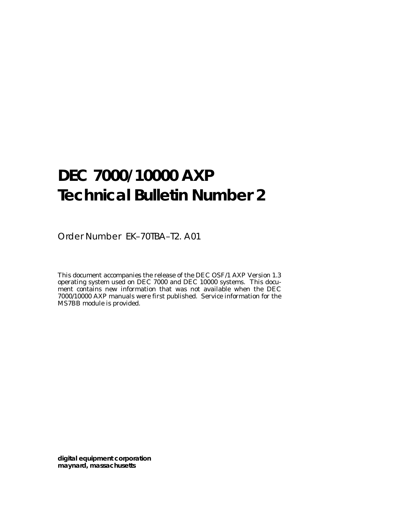# **DEC 7000/10000 AXP Technical Bulletin Number 2**

Order Number EK–70TBA–T2. A01

This document accompanies the release of the DEC OSF/1 AXP Version 1.3 operating system used on DEC 7000 and DEC 10000 systems. This document contains new information that was not available when the DEC 7000/10000 AXP manuals were first published. Service information for the MS7BB module is provided.

**digital equipment corporation maynard, massachusetts**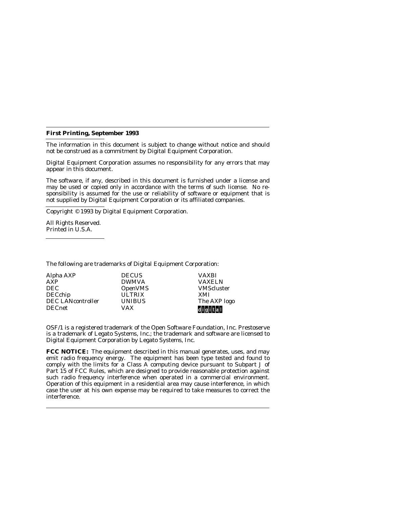#### **First Printing, September 1993**

The information in this document is subject to change without notice and should not be construed as a commitment by Digital Equipment Corporation.

Digital Equipment Corporation assumes no responsibility for any errors that may appear in this document.

The software, if any, described in this document is furnished under a license and may be used or copied only in accordance with the terms of such license. No responsibility is assumed for the use or reliability of software or equipment that is not supplied by Digital Equipment Corporation or its affiliated companies.

Copyright © 1993 by Digital Equipment Corporation.

All Rights Reserved. Printed in U.S.A.

The following are trademarks of Digital Equipment Corporation:

| Alpha AXP                | <b>DECUS</b>   | <b>VAXBI</b>      |
|--------------------------|----------------|-------------------|
| AXP                      | <b>DWMVA</b>   | <b>VAXELN</b>     |
| <b>DEC</b>               | <b>OpenVMS</b> | <b>VMScluster</b> |
| <b>DECchip</b>           | <b>ULTRIX</b>  | XMI               |
| <b>DEC LANcontroller</b> | <b>UNIBUS</b>  | The AXP logo      |
| <b>DECnet</b>            | <b>VAX</b>     | d i glitall       |

OSF/1 is a registered trademark of the Open Software Foundation, Inc. Prestoserve is a trademark of Legato Systems, Inc.; the trademark and software are licensed to Digital Equipment Corporation by Legato Systems, Inc.

**FCC NOTICE:** The equipment described in this manual generates, uses, and may emit radio frequency energy. The equipment has been type tested and found to comply with the limits for a Class A computing device pursuant to Subpart J of Part 15 of FCC Rules, which are designed to provide reasonable protection against such radio frequency interference when operated in a commercial environment. Operation of this equipment in a residential area may cause interference, in which case the user at his own expense may be required to take measures to correct the interference.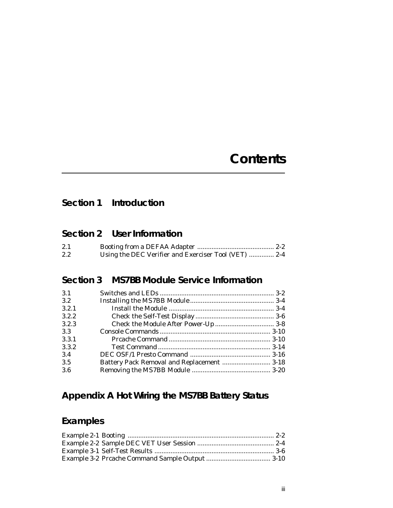# **Contents**

# **Section 1 Introduction**

# **Section 2 User Information**

| 2.1           |                                                      |  |
|---------------|------------------------------------------------------|--|
| $2.2^{\circ}$ | Using the DEC Verifier and Exerciser Tool (VET)  2-4 |  |

# **Section 3 MS7BB Module Service Information**

| 3.1   |                                            |  |
|-------|--------------------------------------------|--|
| 3.2   |                                            |  |
| 3.2.1 |                                            |  |
| 3.2.2 |                                            |  |
| 3.2.3 |                                            |  |
| 3.3   |                                            |  |
| 3.3.1 |                                            |  |
| 3.3.2 |                                            |  |
| 3.4   |                                            |  |
| 3.5   | Battery Pack Removal and Replacement  3-18 |  |
| 3.6   |                                            |  |

# **Appendix A Hot Wiring the MS7BB Battery Status**

# **Examples**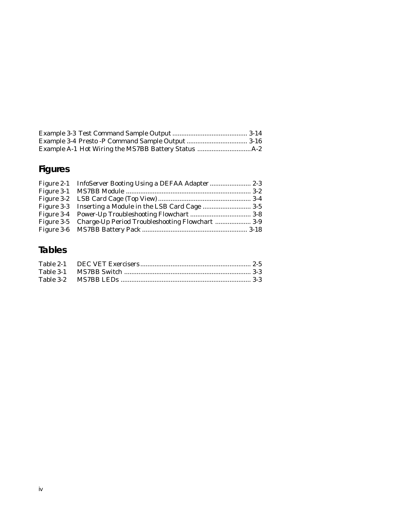# **Figures**

| Figure 3-5 Charge-Up Period Troubleshooting Flowchart  3-9 |  |
|------------------------------------------------------------|--|
|                                                            |  |
|                                                            |  |

# **Tables**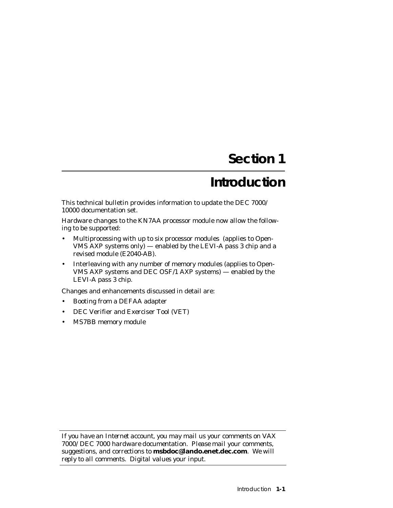# **Section 1**

# **Introduction**

This technical bulletin provides information to update the DEC 7000/ 10000 documentation set.

Hardware changes to the KN7AA processor module now allow the following to be supported:

- Multiprocessing with up to six processor modules (applies to Open-VMS AXP systems only) — enabled by the LEVI-A pass 3 chip and a revised module (E2040-AB).
- Interleaving with any number of memory modules (applies to Open-VMS AXP systems and DEC OSF/1 AXP systems) — enabled by the LEVI-A pass 3 chip.

Changes and enhancements discussed in detail are:

- Booting from a DEFAA adapter
- DEC Verifier and Exerciser Tool (VET)
- MS7BB memory module

*If you have an Internet account, you may mail us your comments on VAX 7000/DEC 7000 hardware documentation. Please mail your comments, suggestions, and corrections to* **msbdoc@lando.enet.dec.com***. We will reply to all comments. Digital values your input.*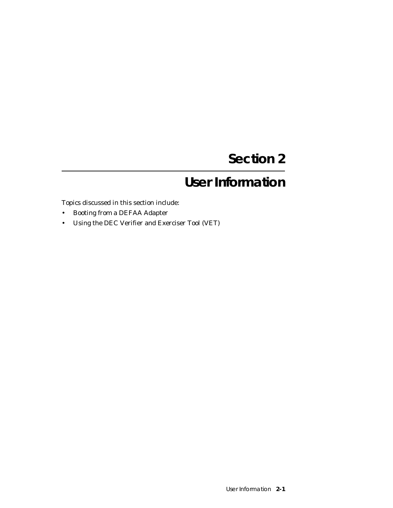# **Section 2**

# **User Information**

Topics discussed in this section include:

- Booting from a DEFAA Adapter
- Using the DEC Verifier and Exerciser Tool (VET)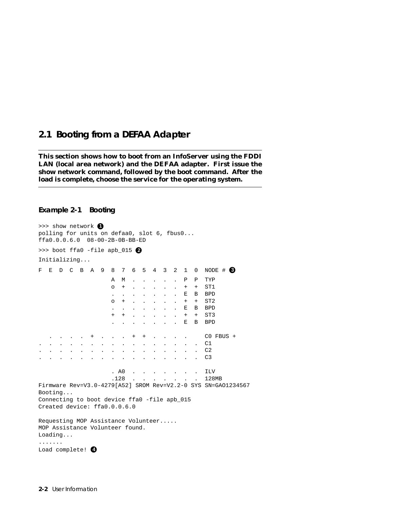## **2.1 Booting from a DEFAA Adapter**

**This section shows how to boot from an InfoServer using the FDDI LAN (local area network) and the DEFAA adapter. First issue the show network command, followed by the boot command. After the load is complete, choose the service for the operating system.**

#### **Example 2-1 Booting**

|                                                                                   |                       | >>> show network 1 |               |                      |  |               |                      | polling for units on defaa0, slot 6, fbus0<br>ffa0.0.0.6.0 08-00-2B-0B-BB-ED |                                                             |                                                           |                                              |                      |                                 |                      |              |                                                               |
|-----------------------------------------------------------------------------------|-----------------------|--------------------|---------------|----------------------|--|---------------|----------------------|------------------------------------------------------------------------------|-------------------------------------------------------------|-----------------------------------------------------------|----------------------------------------------|----------------------|---------------------------------|----------------------|--------------|---------------------------------------------------------------|
|                                                                                   |                       |                    |               |                      |  |               |                      | >>> boot ffa0 -file apb_015 $\bullet$                                        |                                                             |                                                           |                                              |                      |                                 |                      |              |                                                               |
|                                                                                   |                       | Initializing       |               |                      |  |               |                      |                                                                              |                                                             |                                                           |                                              |                      |                                 |                      |              |                                                               |
| $\mathbf F$                                                                       | E                     | D                  | $\mathcal{C}$ | B A                  |  | 9             | 8                    | $7\overline{ }$                                                              |                                                             | 6 5 4                                                     |                                              | 3                    | 2                               | $\mathbf{1}$         | 0            | NODE # 8                                                      |
|                                                                                   |                       |                    |               |                      |  |               | Α                    | M                                                                            |                                                             | $\ddot{\phantom{a}}$                                      | $\ddot{\phantom{0}}$                         |                      |                                 | P                    | Ρ            | TYP                                                           |
|                                                                                   |                       |                    |               |                      |  |               | $\circ$              | $^{+}$                                                                       | $\sim$                                                      |                                                           | $\mathbf{r} = \mathbf{r} \cdot \mathbf{r}$ . | $\sim$               | $\ddot{\phantom{a}}$            | $+$                  | $^{+}$       | ST1                                                           |
|                                                                                   |                       |                    |               |                      |  |               |                      |                                                                              |                                                             | $\mathcal{L}$ . The set of $\mathcal{L}$                  |                                              |                      |                                 | Е                    | В            | <b>BPD</b>                                                    |
|                                                                                   |                       |                    |               |                      |  |               | $\circ$              | $^{+}$                                                                       |                                                             |                                                           | $\mathbf{L} = \mathbf{L}$                    | $\mathbf{r}$         | $\ddot{\phantom{a}}$            | $+$                  | $+$          | ST <sub>2</sub>                                               |
|                                                                                   |                       |                    |               |                      |  |               |                      |                                                                              |                                                             | $\mathbf{L}^{\text{max}}$ , and $\mathbf{L}^{\text{max}}$ |                                              |                      |                                 | Е                    | В            | <b>BPD</b>                                                    |
|                                                                                   |                       |                    |               |                      |  |               | $^{+}$               | $+$                                                                          |                                                             |                                                           | <b>All Street</b>                            | $\ddot{\phantom{0}}$ | $\ddot{\phantom{0}}$            | $+$                  | $+$          | ST <sub>3</sub>                                               |
|                                                                                   |                       |                    |               |                      |  |               |                      |                                                                              |                                                             | and the state of the state of                             |                                              |                      |                                 | E                    | B            | <b>BPD</b>                                                    |
|                                                                                   |                       |                    |               |                      |  |               |                      | $\sim$ $\sim$                                                                | $+$                                                         | $^{+}$                                                    |                                              |                      |                                 |                      |              | $CO$ FBUS +                                                   |
|                                                                                   |                       |                    |               | $\ddot{\phantom{0}}$ |  |               | $\ddot{\phantom{0}}$ | $\ddot{\phantom{0}}$                                                         | $\bullet$ .<br><br><br><br><br><br><br><br><br><br><br><br> | $\ddot{\phantom{0}}$                                      | $\ddot{\phantom{0}}$                         |                      | $\cdot$ $\cdot$ $\cdot$ $\cdot$ |                      |              | C1                                                            |
|                                                                                   |                       |                    |               |                      |  | $\sim$ $\sim$ |                      |                                                                              |                                                             | $\ddot{\phantom{0}}$                                      | $\ddot{\phantom{a}}$                         |                      |                                 | $\ddot{\phantom{a}}$ |              | C <sub>2</sub>                                                |
|                                                                                   |                       |                    |               |                      |  |               |                      |                                                                              |                                                             |                                                           |                                              |                      |                                 |                      |              | C <sub>3</sub>                                                |
|                                                                                   |                       |                    |               |                      |  |               |                      | . A0                                                                         |                                                             |                                                           |                                              |                      |                                 |                      |              | <b>ILV</b>                                                    |
|                                                                                   |                       |                    |               |                      |  |               | .128                 |                                                                              |                                                             |                                                           |                                              |                      |                                 |                      | $\mathbf{L}$ | 128MB                                                         |
|                                                                                   |                       | Booting            |               |                      |  |               |                      |                                                                              |                                                             |                                                           |                                              |                      |                                 |                      |              | Firmware Rev=V3.0-4279[A52] SROM Rev=V2.2-0 SYS SN=GA01234567 |
|                                                                                   |                       |                    |               |                      |  |               |                      | Connecting to boot device ffa0 -file apb_015                                 |                                                             |                                                           |                                              |                      |                                 |                      |              |                                                               |
|                                                                                   |                       |                    |               |                      |  |               |                      | Created device: ffa0.0.0.6.0                                                 |                                                             |                                                           |                                              |                      |                                 |                      |              |                                                               |
| Requesting MOP Assistance Volunteer<br>MOP Assistance Volunteer found.<br>Loading |                       |                    |               |                      |  |               |                      |                                                                              |                                                             |                                                           |                                              |                      |                                 |                      |              |                                                               |
|                                                                                   | .<br>Load complete! O |                    |               |                      |  |               |                      |                                                                              |                                                             |                                                           |                                              |                      |                                 |                      |              |                                                               |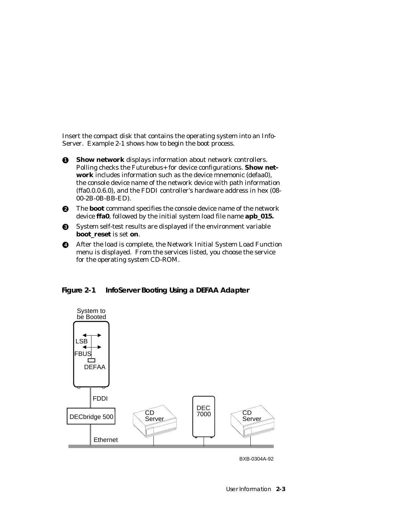Insert the compact disk that contains the operating system into an Info-Server. Example 2-1 shows how to begin the boot process.

- **1** Show network displays information about network controllers. Polling checks the Futurebus+ for device configurations. **Show network** includes information such as the device mnemonic (defaa0), the console device name of the network device with path information (ffa0.0.0.6.0), and the FDDI controller's hardware address in hex (08- 00-2B-0B-BB-ED).
- **2** The **boot** command specifies the console device name of the network device **ffa0**, followed by the initial system load file name **apb\_015.**
- **3** System self-test results are displayed if the environment variable **boot\_reset** is set **on**.
- **4** After the load is complete, the Network Initial System Load Function menu is displayed. From the services listed, you choose the service for the operating system CD-ROM.





BXB-0304A-92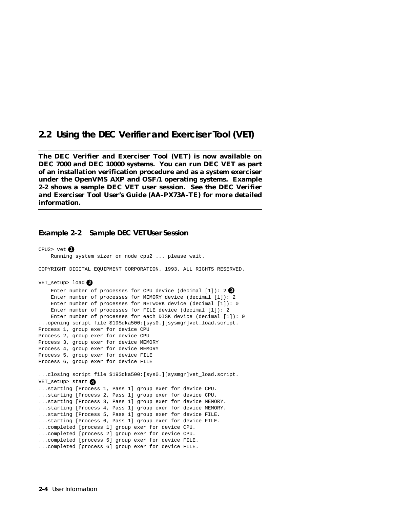## **2.2 Using the DEC Verifier and Exerciser Tool (VET)**

**The DEC Verifier and Exerciser Tool (VET) is now available on DEC 7000 and DEC 10000 systems. You can run DEC VET as part of an installation verification procedure and as a system exerciser under the OpenVMS AXP and OSF/1 operating systems. Example 2-2 shows a sample DEC VET user session. See the** *DEC Verifier and Exerciser Tool User's Guide* **(AA–PX73A–TE) for more detailed information.**

#### **Example 2-2 Sample DEC VET User Session**

```
CPU2> vet \bigcirc Running system sizer on node cpu2 ... please wait.
COPYRIGHT DIGITAL EQUIPMENT CORPORATION. 1993. ALL RIGHTS RESERVED.
VET_setup> load 2
    Enter number of processes for CPU device (decimal [1]): 2 3
     Enter number of processes for MEMORY device (decimal [1]): 2
     Enter number of processes for NETWORK device (decimal [1]): 0
     Enter number of processes for FILE device (decimal [1]): 2
     Enter number of processes for each DISK device (decimal [1]): 0
...opening script file $19$dka500:[sys0.][sysmgr]vet_load.script.
Process 1, group exer for device CPU
Process 2, group exer for device CPU
Process 3, group exer for device MEMORY
Process 4, group exer for device MEMORY
Process 5, group exer for device FILE
Process 6, group exer for device FILE
...closing script file $19$dka500:[sys0.][sysmgr]vet_load.script.
VET_setup> start 4
...starting [Process 1, Pass 1] group exer for device CPU.
...starting [Process 2, Pass 1] group exer for device CPU.
...starting [Process 3, Pass 1] group exer for device MEMORY.
...starting [Process 4, Pass 1] group exer for device MEMORY.
...starting [Process 5, Pass 1] group exer for device FILE.
...starting [Process 6, Pass 1] group exer for device FILE.
...completed [process 1] group exer for device CPU.
...completed [process 2] group exer for device CPU.
...completed [process 5] group exer for device FILE.
...completed [process 6] group exer for device FILE.
```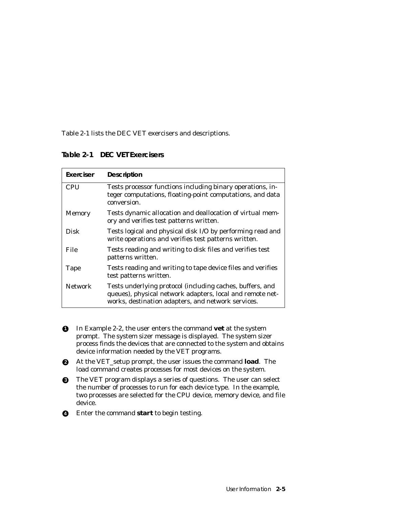Table 2-1 lists the DEC VET exercisers and descriptions.

**Table 2-1 DEC VET Exercisers**

| Exerciser      | <b>Description</b>                                                                                                                                                           |
|----------------|------------------------------------------------------------------------------------------------------------------------------------------------------------------------------|
| <b>CPU</b>     | Tests processor functions including binary operations, in-<br>teger computations, floating-point computations, and data<br>conversion.                                       |
| <b>Memory</b>  | Tests dynamic allocation and deallocation of virtual mem-<br>ory and verifies test patterns written.                                                                         |
| Disk           | Tests logical and physical disk I/O by performing read and<br>write operations and verifies test patterns written.                                                           |
| File           | Tests reading and writing to disk files and verifies test<br>patterns written.                                                                                               |
| Tape           | Tests reading and writing to tape device files and verifies<br>test patterns written.                                                                                        |
| <b>Network</b> | Tests underlying protocol (including caches, buffers, and<br>queues), physical network adapters, local and remote net-<br>works, destination adapters, and network services. |

- **1** In Example 2-2, the user enters the command **vet** at the system prompt. The system sizer message is displayed. The system sizer process finds the devices that are connected to the system and obtains device information needed by the VET programs.
- **2** At the VET\_setup prompt, the user issues the command **load**. The load command creates processes for most devices on the system.
- **3** The VET program displays a series of questions. The user can select the number of processes to run for each device type. In the example, two processes are selected for the CPU device, memory device, and file device.
- **4** Enter the command **start** to begin testing.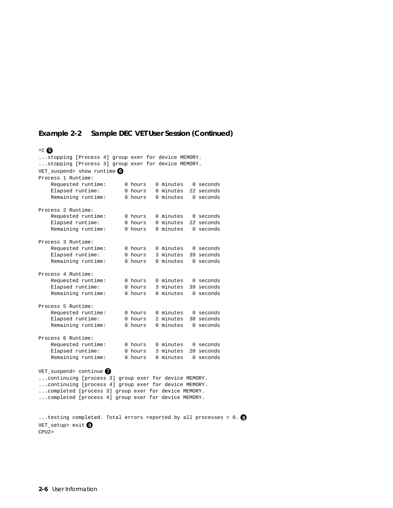### **Example 2-2 Sample DEC VET User Session (Continued)**

#### $\sim$  6

...stopping [Process 4] group exer for device MEMORY. ...stopping [Process 3] group exer for device MEMORY. VET suspend> show runtime **6** Process 1 Runtime: Requested runtime: 0 hours 0 minutes 0 seconds Elapsed runtime: 0 hours 0 minutes 22 seconds<br>Remaining runtime: 0 hours 0 minutes 0 seconds 0 hours 0 minutes 0 seconds Process 2 Runtime: Requested runtime: 0 hours 0 minutes 0 seconds Elapsed runtime: 0 hours 0 minutes 22 seconds Remaining runtime: 0 hours 0 minutes 0 seconds Process 3 Runtime: Requested runtime: 0 hours 0 minutes 0 seconds Elapsed runtime: 0 hours 3 minutes 39 seconds Remaining runtime: 0 hours 0 minutes 0 seconds Process 4 Runtime: Requested runtime: 0 hours 0 minutes 0 seconds Elapsed runtime: 0 hours 3 minutes 39 seconds Remaining runtime: 0 hours 0 minutes 0 seconds Process 5 Runtime: Requested runtime: 0 hours 0 minutes 0 seconds Elapsed runtime: 0 hours 2 minutes 30 seconds Remaining runtime: 0 hours 0 minutes 0 seconds Process 6 Runtime: Requested runtime: 0 hours 0 minutes 0 seconds Elapsed runtime: 0 hours 3 minutes 20 seconds Remaining runtime: 0 hours 0 minutes 0 seconds VET\_suspend> continue **7** ...continuing [process 3] group exer for device MEMORY. ...continuing [process 4] group exer for device MEMORY. ...completed [process 3] group exer for device MEMORY. ...completed [process 4] group exer for device MEMORY. ...testing completed. Total errors reported by all processes = 0. **8** VET setup> exit **9** CPU2>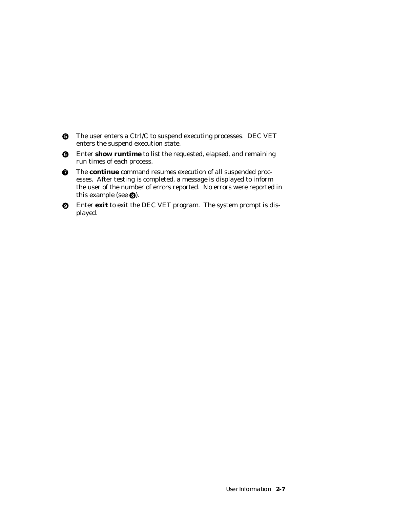- **6** The user enters a Ctrl/C to suspend executing processes. DEC VET enters the suspend execution state.
- **6** Enter **show runtime** to list the requested, elapsed, and remaining run times of each process.
- $\bullet$  The **continue** command resumes execution of all suspended processes. After testing is completed, a message is displayed to inform the user of the number of errors reported. No errors were reported in this example (see  $\odot$ ).
- **9** Enter **exit** to exit the DEC VET program. The system prompt is displayed.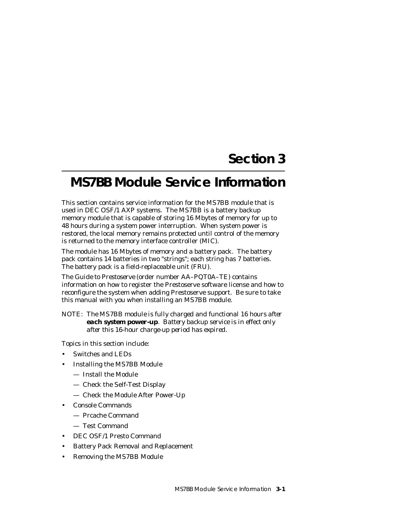# **Section 3**

# **MS7BB Module Service Information**

This section contains service information for the MS7BB module that is used in DEC OSF/1 AXP systems. The MS7BB is a battery backup memory module that is capable of storing 16 Mbytes of memory for up to 48 hours during a system power interruption. When system power is restored, the local memory remains protected until control of the memory is returned to the memory interface controller (MIC).

The module has 16 Mbytes of memory and a battery pack. The battery pack contains 14 batteries in two "strings"; each string has 7 batteries. The battery pack is a field-replaceable unit (FRU).

The *Guide to Prestoserve* (order number AA–PQT0A–TE) contains information on how to register the Prestoserve software license and how to reconfigure the system when adding Prestoserve support. Be sure to take this manual with you when installing an MS7BB module.

*NOTE: The MS7BB module is fully charged and functional 16 hours after each system power-up. Battery backup service is in effect only after this 16-hour charge-up period has expired.*

Topics in this section include:

- Switches and LEDs
- Installing the MS7BB Module
	- Install the Module
	- Check the Self-Test Display
	- Check the Module After Power-Up
- Console Commands
	- Prcache Command
	- Test Command
- DEC OSF/1 Presto Command
- Battery Pack Removal and Replacement
- Removing the MS7BB Module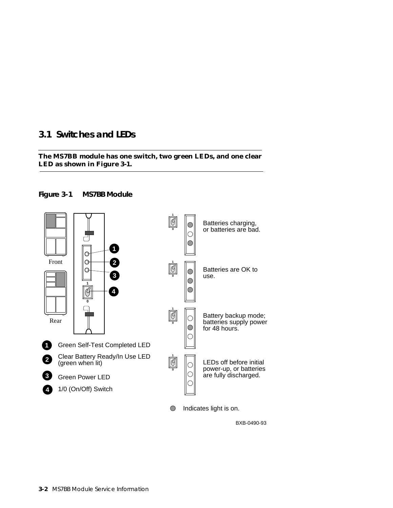# **3.1 Switches and LEDs**

### **The MS7BB module has one switch, two green LEDs, and one clear LED as shown in Figure 3-1.**





BXB-0490-93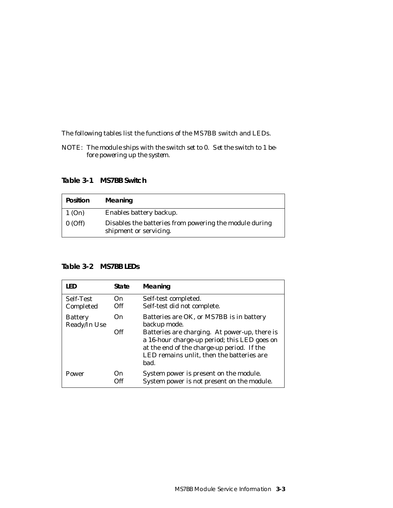The following tables list the functions of the MS7BB switch and LEDs.

*NOTE: The module ships with the switch set to 0. Set the switch to 1 before powering up the system.*

**Table 3-1 MS7BB Switch**

| <b>Position</b> | Meaning                                                                          |
|-----------------|----------------------------------------------------------------------------------|
| 1(On)           | Enables battery backup.                                                          |
| $0$ (Off)       | Disables the batteries from powering the module during<br>shipment or servicing. |

### **Table 3-2 MS7BB LEDs**

| I FD                           | State       | Meaning                                                                                                                                                                                                                                                      |
|--------------------------------|-------------|--------------------------------------------------------------------------------------------------------------------------------------------------------------------------------------------------------------------------------------------------------------|
| Self-Test<br>Completed         | On.<br>Off  | Self-test completed.<br>Self-test did not complete.                                                                                                                                                                                                          |
| <b>Battery</b><br>Ready/In Use | On.<br>Off  | Batteries are OK, or MS7BB is in battery<br>backup mode.<br>Batteries are charging. At power-up, there is<br>a 16-hour charge-up period; this LED goes on<br>at the end of the charge-up period. If the<br>LED remains unlit, then the batteries are<br>bad. |
| Power                          | ( )n<br>Off | System power is present on the module.<br>System power is not present on the module.                                                                                                                                                                         |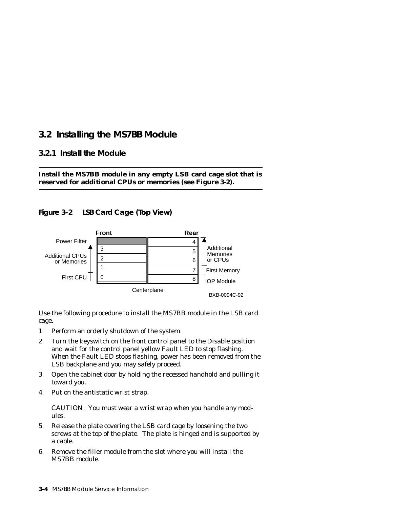# **3.2 Installing the MS7BB Module**

### **3.2.1 Install the Module**



### **Figure 3-2 LSB Card Cage (Top View)**



Use the following procedure to install the MS7BB module in the LSB card cage.

- 1. Perform an orderly shutdown of the system.
- 2. Turn the keyswitch on the front control panel to the Disable position and wait for the control panel yellow Fault LED to stop flashing. When the Fault LED stops flashing, power has been removed from the LSB backplane and you may safely proceed.
- 3. Open the cabinet door by holding the recessed handhold and pulling it toward you.
- 4. Put on the antistatic wrist strap.

*CAUTION: You must wear a wrist wrap when you handle any modules.*

- 5. Release the plate covering the LSB card cage by loosening the two screws at the top of the plate. The plate is hinged and is supported by a cable.
- 6. Remove the filler module from the slot where you will install the MS7BB module.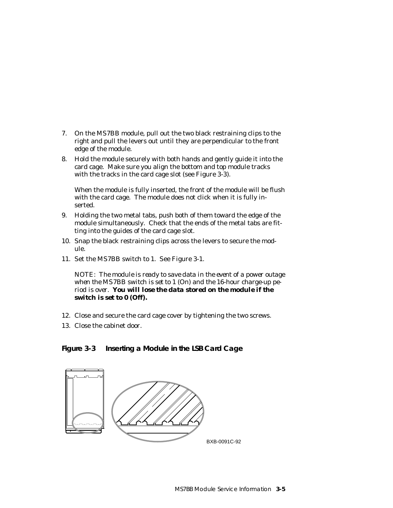- 7. On the MS7BB module, pull out the two black restraining clips to the right and pull the levers out until they are perpendicular to the front edge of the module.
- 8. Hold the module securely with both hands and gently guide it into the card cage. Make sure you align the bottom and top module tracks with the tracks in the card cage slot (see Figure 3-3).

When the module is fully inserted, the front of the module will be flush with the card cage. The module does not click when it is fully inserted.

- 9. Holding the two metal tabs, push both of them toward the edge of the module simultaneously. Check that the ends of the metal tabs are fitting into the guides of the card cage slot.
- 10. Snap the black restraining clips across the levers to secure the module.
- 11. Set the MS7BB switch to 1. See Figure 3-1.

*NOTE: The module is ready to save data in the event of a power outage when the MS7BB switch is set to 1 (On) and the 16-hour charge-up period is over. You will lose the data stored on the module if the switch is set to 0 (Off).*

- 12. Close and secure the card cage cover by tightening the two screws.
- 13. Close the cabinet door.

**Figure 3-3 Inserting a Module in the LSB Card Cage**

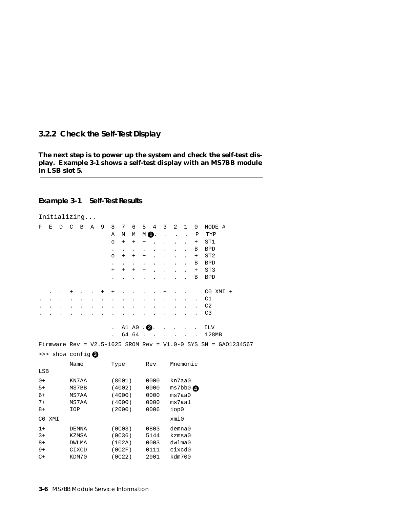### **3.2.2 Check the Self-Test Display**

#### **The next step is to power up the system and check the self-test display. Example 3-1 shows a self-test display with an MS7BB module in LSB slot 5.**

### **Example 3-1 Self-Test Results**

|               |             |   |               | Initializing              |      |   |              |        |                      |        |      |   |                  |              |             |                                                                    |  |  |  |
|---------------|-------------|---|---------------|---------------------------|------|---|--------------|--------|----------------------|--------|------|---|------------------|--------------|-------------|--------------------------------------------------------------------|--|--|--|
| F             | $\mathbf E$ | D | $\mathcal{C}$ | B                         | A    | 9 | 8            | 7      | 6                    | 5      | 4    | 3 | 2                | $\mathbf{1}$ | $\mathbf 0$ | NODE #                                                             |  |  |  |
|               |             |   |               |                           |      |   | Α            | М      | М                    | $M$ 0. |      |   |                  |              | Ρ           | TYP                                                                |  |  |  |
|               |             |   |               |                           |      |   | $\circ$      | $^{+}$ | $+$                  | $^{+}$ |      |   |                  |              | $^{+}$      | ST1                                                                |  |  |  |
|               |             |   |               |                           |      |   | $\bullet$    |        | $\ddot{\phantom{0}}$ |        |      |   |                  |              | В           | <b>BPD</b>                                                         |  |  |  |
|               |             |   |               |                           |      |   | $\circ$      | $^{+}$ | $+$                  | $+$    |      |   |                  |              | $\ddot{}$   | ST <sub>2</sub>                                                    |  |  |  |
|               |             |   |               |                           |      |   |              |        |                      |        |      |   |                  |              | В           | <b>BPD</b>                                                         |  |  |  |
|               |             |   |               |                           |      |   | $^{+}$       | $^{+}$ | $+$                  | $^{+}$ |      |   |                  |              | $^{+}$      | ST <sub>3</sub>                                                    |  |  |  |
|               |             |   |               |                           |      |   |              |        |                      |        |      |   |                  |              | В           | <b>BPD</b>                                                         |  |  |  |
|               |             |   | +             |                           |      | + | $\mathrm{+}$ |        |                      |        |      | + |                  |              |             | CO XMI +                                                           |  |  |  |
|               |             |   |               |                           |      |   |              |        |                      |        |      |   |                  |              |             | C1                                                                 |  |  |  |
|               |             |   |               |                           |      |   |              |        |                      |        |      |   |                  |              |             | C <sub>2</sub>                                                     |  |  |  |
|               |             |   |               |                           |      |   |              |        |                      |        |      |   |                  |              |             | C <sub>3</sub>                                                     |  |  |  |
|               |             |   |               |                           |      |   |              |        | A1 A0. 2.            |        |      |   |                  |              |             | ILV                                                                |  |  |  |
|               |             |   |               |                           |      |   |              |        | 64 64                |        |      |   |                  |              |             | 128MB                                                              |  |  |  |
|               |             |   |               |                           |      |   |              |        |                      |        |      |   |                  |              |             | Firmware Rev = $V2.5-1625$ SROM Rev = $V1.0-0$ SYS SN = GA01234567 |  |  |  |
|               |             |   |               | $\gg$ show config $\odot$ |      |   |              |        |                      |        |      |   |                  |              |             |                                                                    |  |  |  |
|               |             |   | Name          |                           |      |   | Type         |        |                      |        | Rev  |   | Mnemonic         |              |             |                                                                    |  |  |  |
| LSB           |             |   |               |                           |      |   |              |        |                      |        |      |   |                  |              |             |                                                                    |  |  |  |
| $0+$          |             |   |               | KN7AA                     |      |   |              | (8001) |                      |        | 0000 |   | kn7aa0           |              |             |                                                                    |  |  |  |
| $5+$          |             |   | MS7BB         |                           |      |   |              | (4002) |                      |        | 0000 |   | $ms7bb0$ $\odot$ |              |             |                                                                    |  |  |  |
| $6+$          |             |   |               | MS7AA                     |      |   |              | (4000) |                      |        | 0000 |   | ms7aa0           |              |             |                                                                    |  |  |  |
| $7+$          |             |   |               | MS7AA                     |      |   |              | (4000) |                      |        | 0000 |   | ms7aa1           |              |             |                                                                    |  |  |  |
| $8+$          |             |   | IOP           |                           |      |   |              | (2000) |                      |        | 0006 |   | iop0             |              |             |                                                                    |  |  |  |
|               | CO XMI      |   |               |                           |      |   |              |        |                      |        |      |   | xmi0             |              |             |                                                                    |  |  |  |
| $1+$          |             |   |               | <b>DEMNA</b>              |      |   |              | (0C03) |                      |        | 0803 |   | $d$ emna $0$     |              |             |                                                                    |  |  |  |
| $3+$          |             |   |               | KZMSA                     |      |   |              | (0C36) |                      |        | 5144 |   | kzmsa0           |              |             |                                                                    |  |  |  |
| $8+$          |             |   |               | DWLMA                     |      |   | (102A)       |        |                      |        | 0003 |   |                  | dwlma0       |             |                                                                    |  |  |  |
| $9+$          |             |   |               | CIXCD                     |      |   |              | (0C2F) |                      |        | 0111 |   | cixcd0           |              |             |                                                                    |  |  |  |
| KDM70<br>$C+$ |             |   |               | (0C22)                    | 2901 |   |              | kdm700 |                      |        |      |   |                  |              |             |                                                                    |  |  |  |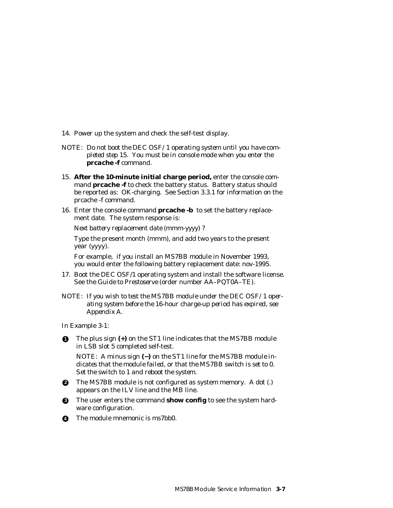- 14. Power up the system and check the self-test display.
- *NOTE: Do not boot the DEC OSF/1 operating system until you have completed step 15. You must be in console mode when you enter the prcache -f command.*
- 15. **After the 10-minute initial charge period,** enter the console com mand **prcache -f** to check the battery status. Battery status should be reported as: OK-charging. See Section 3.3.1 for information on the prcache -f command.
- 16. Enter the console command **prcache -b** to set the battery replace ment date. The system response is:

*Next battery replacement date (mmm-yyyy) ?*

 Type the present month (mmm), and add two years to the present year (yyyy).

 For example, if you install an MS7BB module in November 1993, you would enter the following battery replacement date: nov-1995.

- 17. Boot the DEC OSF/1 operating system and install the software license. See the *Guide to Prestoserve* (order number AA–PQT0A–TE).
- *NOTE: If you wish to test the MS7BB module under the DEC OSF/1 operating system before the 16-hour charge-up period has expired, see Appendix A.*

In Example 3-1:

**1** The plus sign **(+)** on the ST1 line indicates that the MS7BB module in LSB slot 5 completed self-test.

*NOTE: A minus sign (−) on the ST1 line for the MS7BB module indicates that the module failed, or that the MS7BB switch is set to 0. Set the switch to 1 and reboot the system.*

- **2** The MS7BB module is not configured as system memory. A dot (.) appears on the ILV line and the MB line.
- **3** The user enters the command **show config** to see the system hardware configuration.
- **4** The module mnemonic is ms7bb0.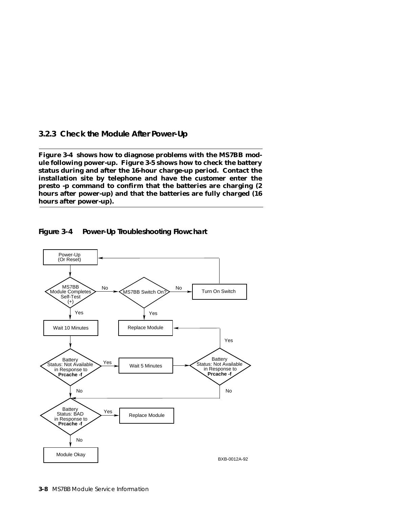### **3.2.3 Check the Module After Power-Up**

**Figure 3-4 shows how to diagnose problems with the MS7BB module following power-up. Figure 3-5 shows how to check the battery status during and after the 16-hour charge-up period. Contact the installation site by telephone and have the customer enter the presto -p command to confirm that the batteries are charging (2 hours after power-up) and that the batteries are fully charged (16 hours after power-up).**



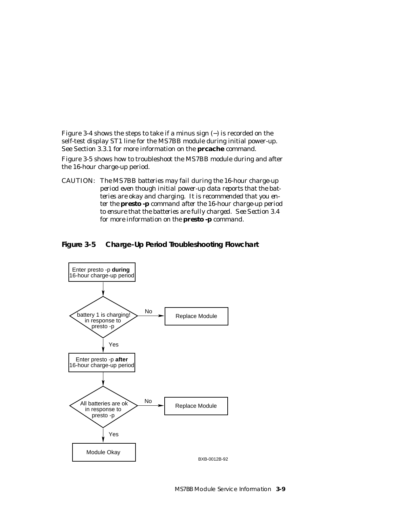Figure 3-4 shows the steps to take if a minus sign (−) is recorded on the self-test display ST1 line for the MS7BB module during initial power-up. See Section 3.3.1 for more information on the **prcache** command.

Figure 3-5 shows how to troubleshoot the MS7BB module during and after the 16-hour charge-up period.

*CAUTION: The MS7BB batteries may fail during the 16-hour charge-up period even though initial power-up data reports that the batteries are okay and charging. It is recommended that you enter the presto -p command after the 16-hour charge-up period to ensure that the batteries are fully charged. See Section 3.4 for more information on the presto -p command.*



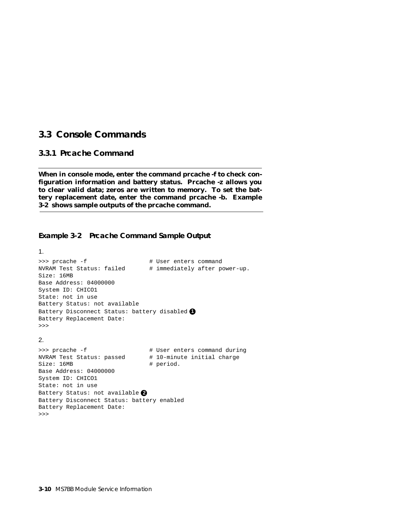## **3.3 Console Commands**

### **3.3.1 Prcache Command**

**When in console mode, enter the command prcache -f to check configuration information and battery status. Prcache -z allows you to clear valid data; zeros are written to memory. To set the battery replacement date, enter the command prcache -b. Example 3-2 shows sample outputs of the prcache command.**

### **Example 3-2 Prcache Command Sample Output**

```
1.
>>> prcache -f # User enters command
NVRAM Test Status: failed # immediately after power-up.
Size: 16MB
Base Address: 04000000
System ID: CHICO1
State: not in use
Battery Status: not available
Battery Disconnect Status: battery disabled 1
Battery Replacement Date:
>>>
2.
>>> prcache -f \qquad # User enters command during
NVRAM Test Status: passed # 10-minute initial charge
Size: 16MB \qquad \qquad \qquad \text{# period.}Base Address: 04000000
System ID: CHICO1
State: not in use
Battery Status: not available 2
Battery Disconnect Status: battery enabled
Battery Replacement Date:
```
**3-10** MS7BB Module Service Information

>>>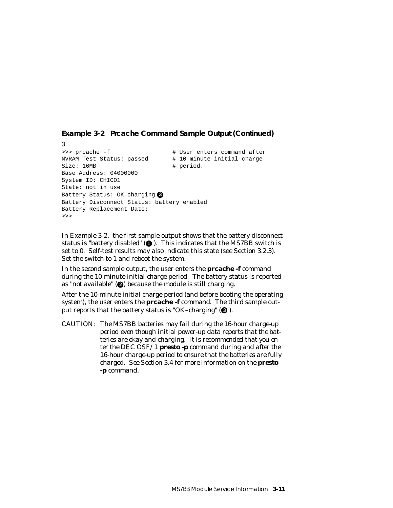**Example 3-2 Prcache Command Sample Output (Continued)**

```
3.
>>> prcache -f \qquad # User enters command after
NVRAM Test Status: passed # 10-minute initial charge
Size: 16MB # period.
Base Address: 04000000
System ID: CHICO1
State: not in use
Battery Status: OK–charging 3
Battery Disconnect Status: battery enabled
Battery Replacement Date:
>>>
```
In Example 3-2, the first sample output shows that the battery disconnect status is "battery disabled"  $\left(\bigcirc\right)$ . This indicates that the MS7BB switch is set to 0. Self-test results may also indicate this state (see Section 3.2.3). Set the switch to 1 and reboot the system.

In the second sample output, the user enters the **prcache -f** command during the 10-minute initial charge period. The battery status is reported as "not available" (**@**) because the module is still charging.

After the 10-minute initial charge period (and before booting the operating system), the user enters the **prcache -f** command. The third sample output reports that the battery status is "OK-charging" (<sup>3</sup>).

*CAUTION: The MS7BB batteries may fail during the 16-hour charge-up period even though initial power-up data reports that the batteries are okay and charging. It is recommended that you enter the DEC OSF/1 presto -p command during and after the 16-hour charge-up period to ensure that the batteries are fully charged. See Section 3.4 for more information on the presto -p command.*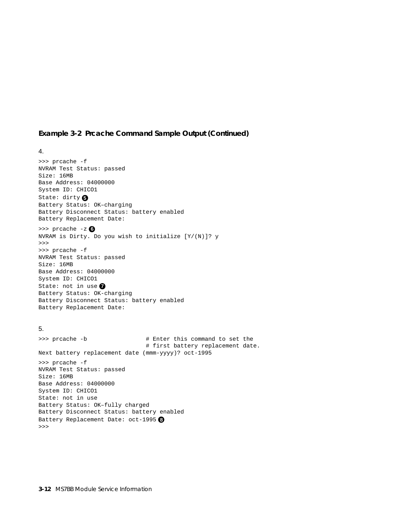### **Example 3-2 Prcache Command Sample Output (Continued)**

#### 4.

>>> prcache -f NVRAM Test Status: passed Size: 16MB Base Address: 04000000 System ID: CHICO1 State: dirty **5** Battery Status: OK–charging Battery Disconnect Status: battery enabled Battery Replacement Date: >>> prcache -z **6** NVRAM is Dirty. Do you wish to initialize [Y/(N)]? y >>> >>> prcache -f NVRAM Test Status: passed Size: 16MB Base Address: 04000000 System ID: CHICO1 State: not in use Battery Status: OK-charging Battery Disconnect Status: battery enabled Battery Replacement Date: 5. >>> prcache -b  $\#$  Enter this command to set the # first battery replacement date. Next battery replacement date (mmm-yyyy)? oct-1995 >>> prcache -f

NVRAM Test Status: passed Size: 16MB Base Address: 04000000 System ID: CHICO1 State: not in use Battery Status: OK–fully charged Battery Disconnect Status: battery enabled Battery Replacement Date: oct-1995 **8** >>>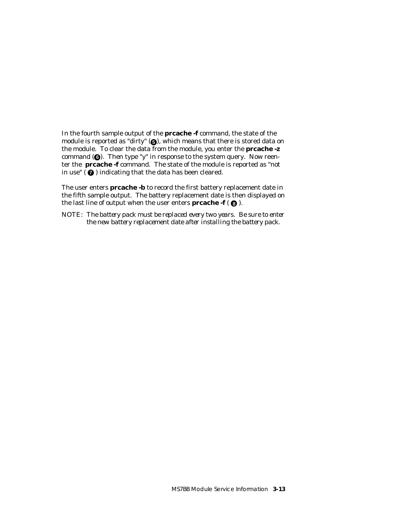In the fourth sample output of the **prcache -f** command, the state of the module is reported as "dirty" ( $\bigcirc$ ), which means that there is stored data on the module. To clear the data from the module, you enter the **prcache -z** command ( $\bigcirc$ ). Then type "y" in response to the system query. Now reenter the **prcache -f** command. The state of the module is reported as "not in use" ( **7** ) indicating that the data has been cleared.

The user enters **prcache -b** to record the first battery replacement date in the fifth sample output. The battery replacement date is then displayed on the last line of output when the user enters **prcache -f** ( **8** ).

*NOTE: The battery pack must be replaced every two years. Be sure to enter the new battery replacement date after installing the battery pack.*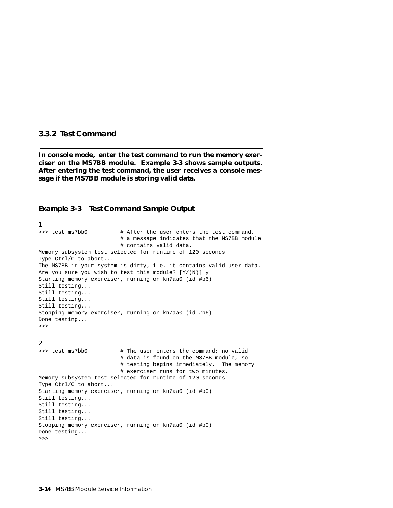#### **3.3.2 Test Command**

**In console mode, enter the test command to run the memory exerciser on the MS7BB module. Example 3-3 shows sample outputs. After entering the test command, the user receives a console message if the MS7BB module is storing valid data.**

#### **Example 3-3 Test Command Sample Output**

1. >>> test ms7bb0 # After the user enters the test command, # a message indicates that the MS7BB module # contains valid data. Memory subsystem test selected for runtime of 120 seconds Type Ctrl/C to abort... The MS7BB in your system is dirty; i.e. it contains valid user data. Are you sure you wish to test this module?  $[Y/(N)]$  y Starting memory exerciser, running on kn7aa0 (id #b6) Still testing... Still testing... Still testing... Still testing... Stopping memory exerciser, running on kn7aa0 (id #b6) Done testing... >>>

#### 2.

>>> test ms7bb0 # The user enters the command; no valid # data is found on the MS7BB module, so # testing begins immediately. The memory # exerciser runs for two minutes. Memory subsystem test selected for runtime of 120 seconds Type Ctrl/C to abort... Starting memory exerciser, running on kn7aa0 (id #b0) Still testing... Still testing... Still testing... Still testing... Stopping memory exerciser, running on kn7aa0 (id #b0) Done testing... >>>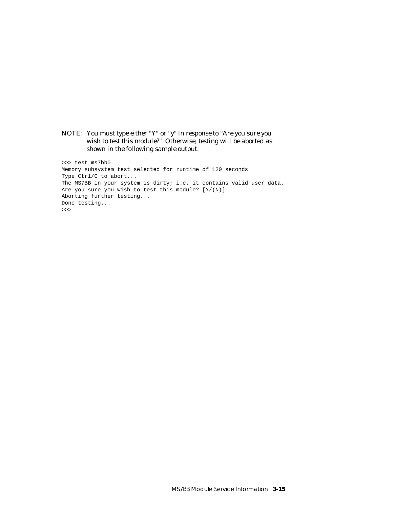*NOTE: You must type either "Y" or "y" in response to "Are you sure you wish to test this module?" Otherwise, testing will be aborted as shown in the following sample output.*

>>> test ms7bb0 Memory subsystem test selected for runtime of 120 seconds Type Ctrl/C to abort... The MS7BB in your system is dirty; i.e. it contains valid user data. Are you sure you wish to test this module? [Y/(N)] Aborting further testing... Done testing... >>>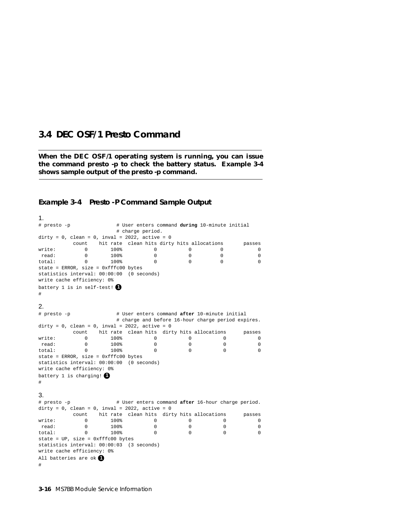## **3.4 DEC OSF/1 Presto Command**

**When the DEC OSF/1 operating system is running, you can issue the command presto -p to check the battery status. Example 3-4 shows sample output of the presto -p command.**

# **Example 3-4 Presto -P Command Sample Output**

#### 1.

| # presto -p                                          |          |      | # User enters command during 10-minute initial |                                                    |          |          |
|------------------------------------------------------|----------|------|------------------------------------------------|----------------------------------------------------|----------|----------|
|                                                      |          |      | # charge period.                               |                                                    |          |          |
| dirty = $0$ , clean = $0$ , inval = 2022, active = 0 |          |      |                                                |                                                    |          |          |
| hit rate clean hits dirty hits allocations<br>count  |          |      |                                                |                                                    |          | passes   |
| write:                                               | 0        | 100% | 0                                              | 0                                                  | 0        | 0        |
| read:                                                | $\Omega$ | 100% | $\Omega$                                       | $\Omega$                                           | $\Omega$ | $\Omega$ |
| total:                                               | 0        | 100% | 0                                              | <sup>n</sup>                                       | 0        | 0        |
| $state = ERROR, size = 0xfffc00 bytes$               |          |      |                                                |                                                    |          |          |
| statistics interval: 00:00:00 (0 seconds)            |          |      |                                                |                                                    |          |          |
| write cache efficiency: 0%                           |          |      |                                                |                                                    |          |          |
| battery 1 is in self-test!                           |          |      |                                                |                                                    |          |          |
| #                                                    |          |      |                                                |                                                    |          |          |
|                                                      |          |      |                                                |                                                    |          |          |
| 2.                                                   |          |      |                                                |                                                    |          |          |
| # presto -p                                          |          |      |                                                | # User enters command after 10-minute initial      |          |          |
|                                                      |          |      |                                                | # charge and before 16-hour charge period expires. |          |          |
| dirty = 0, clean = 0, inval = 2022, active = 0       |          |      |                                                |                                                    |          |          |
|                                                      | count    |      |                                                | hit rate clean hits dirty hits allocations         |          | passes   |
| write:                                               | 0        | 100% | 0                                              | 0                                                  | 0        | 0        |
| read:                                                | $\Omega$ | 100% | $\Omega$                                       | $\Omega$                                           | $\Omega$ | $\Omega$ |
| total:                                               | $\Omega$ | 100% | $\Omega$                                       | $\Omega$                                           | $\Omega$ | $\Omega$ |
| state = ERROR, size = $0$ xfffc00 bytes              |          |      |                                                |                                                    |          |          |
| statistics interval: 00:00:00 (0 seconds)            |          |      |                                                |                                                    |          |          |
| write cache efficiency: 0%                           |          |      |                                                |                                                    |          |          |
| battery 1 is charging!                               |          |      |                                                |                                                    |          |          |
|                                                      |          |      |                                                |                                                    |          |          |
| $\#$                                                 |          |      |                                                |                                                    |          |          |
| 3.                                                   |          |      |                                                |                                                    |          |          |
|                                                      |          |      |                                                |                                                    |          |          |
| # presto -p                                          |          |      |                                                | # User enters command after 16-hour charge period. |          |          |
| dirty = $0$ , clean = $0$ , inval = 2022, active = 0 |          |      |                                                |                                                    |          |          |
|                                                      | count    |      |                                                | hit rate clean hits dirty hits allocations         |          | passes   |
| write:                                               | $\Omega$ | 100% | 0                                              | 0                                                  | $\Omega$ | 0        |
| read:                                                | 0        | 100% | 0                                              | $\Omega$                                           | $\Omega$ | 0        |
| total:                                               | $\Omega$ | 100% | $\Omega$                                       | $\Omega$                                           | $\Omega$ | $\Omega$ |
| state = UP, size = 0xfffc00 bytes                    |          |      |                                                |                                                    |          |          |
| statistics interval: 00:00:03 (3 seconds)            |          |      |                                                |                                                    |          |          |
| write cache efficiency: 0%                           |          |      |                                                |                                                    |          |          |
| All batteries are ok $\bullet$                       |          |      |                                                |                                                    |          |          |
| #                                                    |          |      |                                                |                                                    |          |          |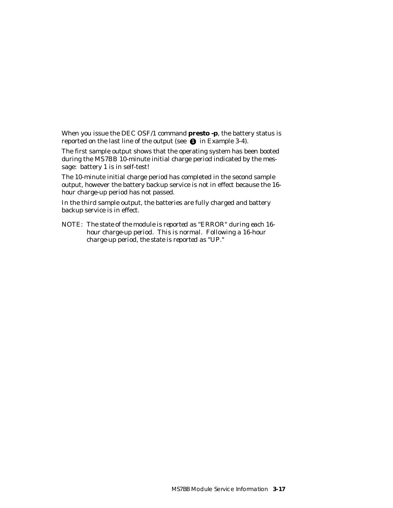When you issue the DEC OSF/1 command **presto -p**, the battery status is reported on the last line of the output (see  $\bullet$  in Example 3-4).

The first sample output shows that the operating system has been booted during the MS7BB 10-minute initial charge period indicated by the message: battery 1 is in self-test!

The 10-minute initial charge period has completed in the second sample output, however the battery backup service is not in effect because the 16 hour charge-up period has not passed.

In the third sample output, the batteries are fully charged and battery backup service is in effect.

*NOTE: The state of the module is reported as "ERROR" during each 16 hour charge-up period. This is normal. Following a 16-hour charge-up period, the state is reported as "UP."*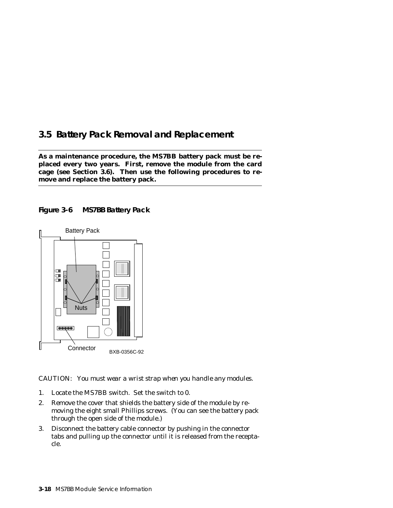# **3.5 Battery Pack Removal and Replacement**

**As a maintenance procedure, the MS7BB battery pack must be replaced every two years. First, remove the module from the card cage (see Section 3.6). Then use the following procedures to remove and replace the battery pack.** 





*CAUTION: You must wear a wrist strap when you handle any modules.*

- 1. Locate the MS7BB switch. Set the switch to 0.
- 2. Remove the cover that shields the battery side of the module by removing the eight small Phillips screws. (You can see the battery pack through the open side of the module.)
- 3. Disconnect the battery cable connector by pushing in the connector tabs and pulling up the connector until it is released from the receptacle.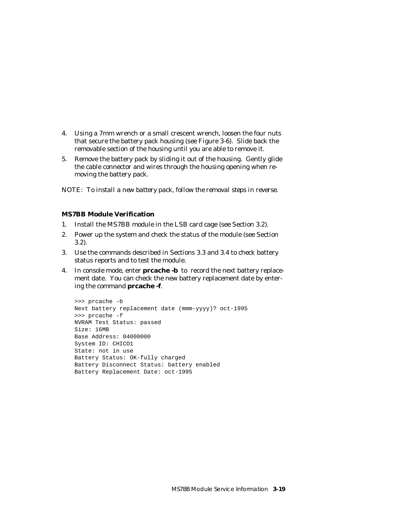- 4. Using a 7mm wrench or a small crescent wrench, loosen the four nuts that secure the battery pack housing (see Figure 3-6). Slide back the removable section of the housing until you are able to remove it.
- 5. Remove the battery pack by sliding it out of the housing. Gently glide the cable connector and wires through the housing opening when removing the battery pack.

*NOTE: To install a new battery pack, follow the removal steps in reverse.*

### **MS7BB Module Verification**

- 1. Install the MS7BB module in the LSB card cage (see Section 3.2).
- 2. Power up the system and check the status of the module (see Section 3.2).
- 3. Use the commands described in Sections 3.3 and 3.4 to check battery status reports and to test the module.
- 4. In console mode, enter **prcache -b** to record the next battery replacement date. You can check the new battery replacement date by entering the command **prcache -f**.

```
>>> prcache -b
Next battery replacement date (mmm-yyyy)? oct-1995
>>> prcache -f
NVRAM Test Status: passed
Size: 16MB
Base Address: 04000000
System ID: CHICO1
State: not in use
Battery Status: OK-fully charged
Battery Disconnect Status: battery enabled
Battery Replacement Date: oct-1995
```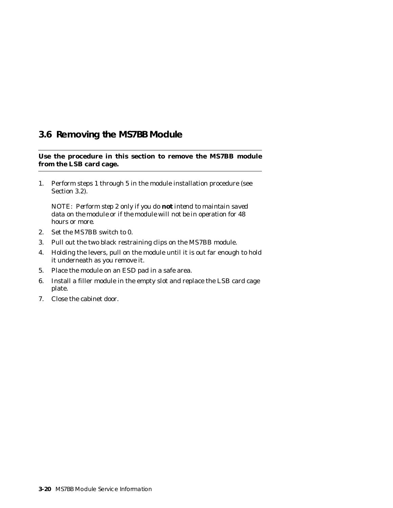# **3.6 Removing the MS7BB Module**

**Use the procedure in this section to remove the MS7BB module from the LSB card cage.**

1. Perform steps 1 through 5 in the module installation procedure (see Section 3.2).

*NOTE: Perform step 2 only if you do not intend to maintain saved data on the module or if the module will not be in operation for 48 hours or more.*

- 2. Set the MS7BB switch to 0.
- 3. Pull out the two black restraining clips on the MS7BB module.
- 4. Holding the levers, pull on the module until it is out far enough to hold it underneath as you remove it.
- 5. Place the module on an ESD pad in a safe area.
- 6. Install a filler module in the empty slot and replace the LSB card cage plate.
- 7. Close the cabinet door.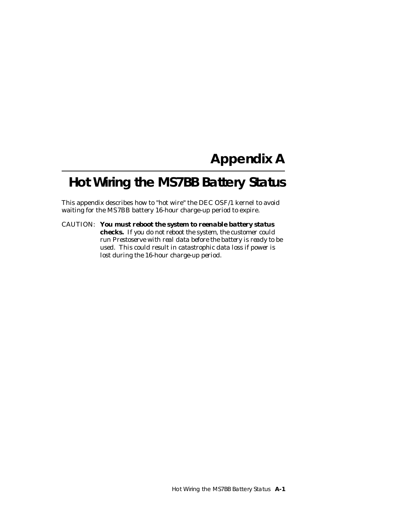# **Appendix A**

# **Hot Wiring the MS7BB Battery Status**

This appendix describes how to "hot wire" the DEC OSF/1 kernel to avoid waiting for the MS7BB battery 16-hour charge-up period to expire.

*CAUTION: You must reboot the system to reenable battery status checks. If you do not reboot the system, the customer could run Prestoserve with real data before the battery is ready to be used. This could result in catastrophic data loss if power is lost during the 16-hour charge-up period.*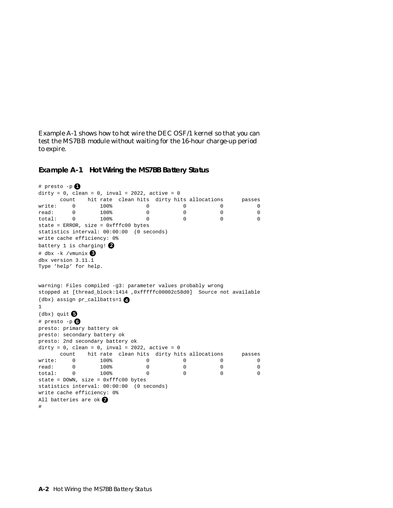Example A-1 shows how to hot wire the DEC OSF/1 kernel so that you can test the MS7BB module without waiting for the 16-hour charge-up period to expire.

```
Example A-1 Hot Wiring the MS7BB Battery Status
```

```
# presto -p \bulletdirty = 0, clean = 0, inval = 2022, active = 0
     count hit rate clean hits dirty hits allocations passes
write: 0 100% 0 0 0 0 0
read: 0 100% 0 0 0 0
total: 0 100% 0 0 0 0
state = ERROR, size = 0xfffc00 bytes
statistics interval: 00:00:00 (0 seconds)
write cache efficiency: 0%
battery 1 is charging! 2
# dbx -k /vmunix 3
dbx version 3.11.1
Type 'help' for help.
warning: Files compiled -g3: parameter values probably wrong
stopped at [thread_block:1414 ,0xfffffc00002c58d0] Source not available
(dbx) assign pr_callbatts=1 4
1
(dbx) quit 5
# presto -p 6
presto: primary battery ok
presto: secondary battery ok
presto: 2nd secondary battery ok
dirty = 0, clean = 0, inval = 2022, active = 0 count hit rate clean hits dirty hits allocations passes
write: 0 100% 0 0 0 0 0
read: 0 100% 0 0 0 0
total: 0 100% 0 0 0 0 0
state = DOWN, size = 0xfffc00 bytes
statistics interval: 00:00:00 (0 seconds)
write cache efficiency: 0%
All batteries are ok 7
#
```